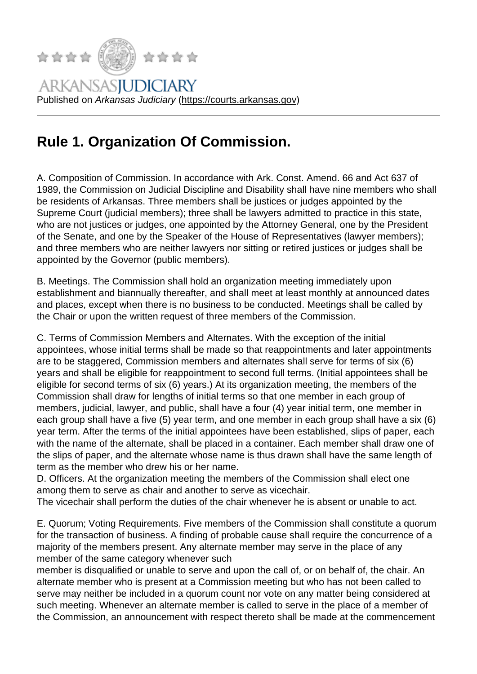## Rule 1. Organization [Of Commission.](https://courts.arkansas.gov)

A. Composition of Commission. In accordance with Ark. Const. Amend. 66 and Act 637 of 1989, the Commission on Judicial Discipline and Disability shall have nine members who shall be residents of Arkansas. Three members shall be justices or judges appointed by the Supreme Court (judicial members); three shall be lawyers admitted to practice in this state, who are not justices or judges, one appointed by the Attorney General, one by the President of the Senate, and one by the Speaker of the House of Representatives (lawyer members); and three members who are neither lawyers nor sitting or retired justices or judges shall be appointed by the Governor (public members).

B. Meetings. The Commission shall hold an organization meeting immediately upon establishment and biannually thereafter, and shall meet at least monthly at announced dates and places, except when there is no business to be conducted. Meetings shall be called by the Chair or upon the written request of three members of the Commission.

C. Terms of Commission Members and Alternates. With the exception of the initial appointees, whose initial terms shall be made so that reappointments and later appointments are to be staggered, Commission members and alternates shall serve for terms of six (6) years and shall be eligible for reappointment to second full terms. (Initial appointees shall be eligible for second terms of six (6) years.) At its organization meeting, the members of the Commission shall draw for lengths of initial terms so that one member in each group of members, judicial, lawyer, and public, shall have a four (4) year initial term, one member in each group shall have a five (5) year term, and one member in each group shall have a six (6) year term. After the terms of the initial appointees have been established, slips of paper, each with the name of the alternate, shall be placed in a container. Each member shall draw one of the slips of paper, and the alternate whose name is thus drawn shall have the same length of term as the member who drew his or her name.

D. Officers. At the organization meeting the members of the Commission shall elect one among them to serve as chair and another to serve as vicechair.

The vicechair shall perform the duties of the chair whenever he is absent or unable to act.

E. Quorum; Voting Requirements. Five members of the Commission shall constitute a quorum for the transaction of business. A finding of probable cause shall require the concurrence of a majority of the members present. Any alternate member may serve in the place of any member of the same category whenever such

member is disqualified or unable to serve and upon the call of, or on behalf of, the chair. An alternate member who is present at a Commission meeting but who has not been called to serve may neither be included in a quorum count nor vote on any matter being considered at such meeting. Whenever an alternate member is called to serve in the place of a member of the Commission, an announcement with respect thereto shall be made at the commencement